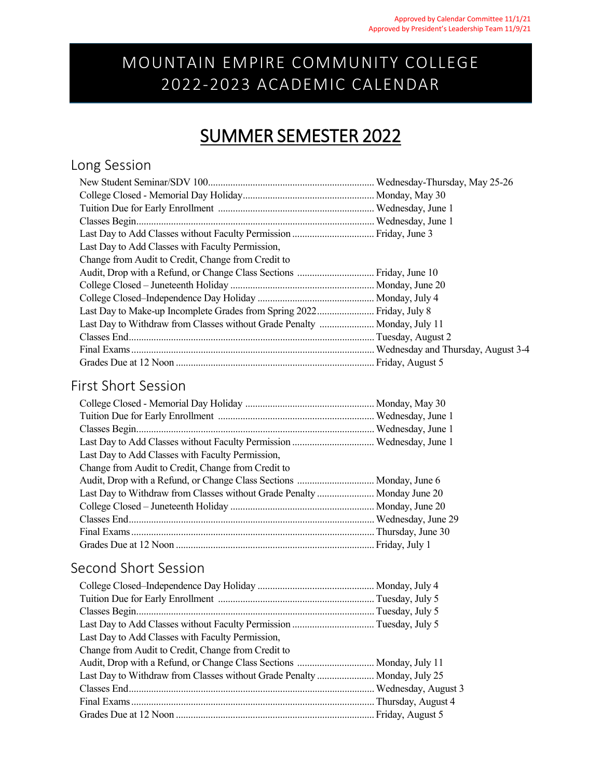## MOUNTAIN EMPIRE COMMUNITY COLLEGE 2022-2023 ACADEMIC CALENDAR

## SUMMER SEMESTER 2022

### Long Session

| Last Day to Add Classes with Faculty Permission,                         |  |
|--------------------------------------------------------------------------|--|
| Change from Audit to Credit, Change from Credit to                       |  |
|                                                                          |  |
|                                                                          |  |
|                                                                          |  |
| Last Day to Make-up Incomplete Grades from Spring 2022 Friday, July 8    |  |
| Last Day to Withdraw from Classes without Grade Penalty  Monday, July 11 |  |
|                                                                          |  |
|                                                                          |  |
|                                                                          |  |

#### First Short Session

| Last Day to Add Classes with Faculty Permission,                        |  |
|-------------------------------------------------------------------------|--|
| Change from Audit to Credit, Change from Credit to                      |  |
|                                                                         |  |
| Last Day to Withdraw from Classes without Grade Penalty  Monday June 20 |  |
|                                                                         |  |
|                                                                         |  |
|                                                                         |  |
|                                                                         |  |

#### Second Short Session

| Last Day to Add Classes with Faculty Permission,                         |  |
|--------------------------------------------------------------------------|--|
| Change from Audit to Credit, Change from Credit to                       |  |
|                                                                          |  |
| Last Day to Withdraw from Classes without Grade Penalty  Monday, July 25 |  |
|                                                                          |  |
|                                                                          |  |
|                                                                          |  |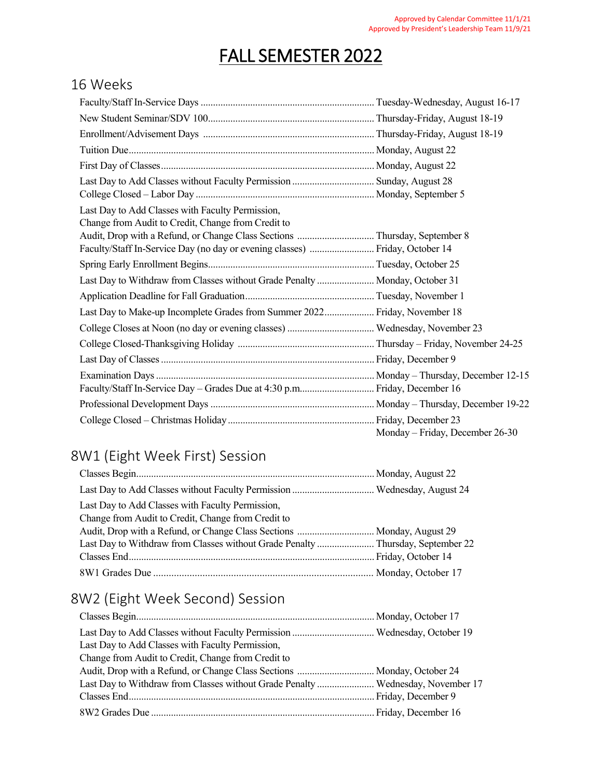# FALL SEMESTER 2022

#### 16 Weeks

| Last Day to Add Classes with Faculty Permission,<br>Change from Audit to Credit, Change from Credit to |                                 |
|--------------------------------------------------------------------------------------------------------|---------------------------------|
|                                                                                                        |                                 |
| Faculty/Staff In-Service Day (no day or evening classes)  Friday, October 14                           |                                 |
|                                                                                                        |                                 |
| Last Day to Withdraw from Classes without Grade Penalty  Monday, October 31                            |                                 |
|                                                                                                        |                                 |
| Last Day to Make-up Incomplete Grades from Summer 2022 Friday, November 18                             |                                 |
|                                                                                                        |                                 |
|                                                                                                        |                                 |
|                                                                                                        |                                 |
|                                                                                                        |                                 |
|                                                                                                        |                                 |
|                                                                                                        |                                 |
|                                                                                                        |                                 |
|                                                                                                        | Monday - Friday, December 26-30 |

## 8W1 (Eight Week First) Session

| Last Day to Add Classes with Faculty Permission,                       |  |
|------------------------------------------------------------------------|--|
| Change from Audit to Credit, Change from Credit to                     |  |
| Audit, Drop with a Refund, or Change Class Sections  Monday, August 29 |  |
|                                                                        |  |
|                                                                        |  |
|                                                                        |  |

## 8W2 (Eight Week Second) Session

| Last Day to Add Classes with Faculty Permission,                                |  |
|---------------------------------------------------------------------------------|--|
| Change from Audit to Credit, Change from Credit to                              |  |
|                                                                                 |  |
| Last Day to Withdraw from Classes without Grade Penalty  Wednesday, November 17 |  |
|                                                                                 |  |
|                                                                                 |  |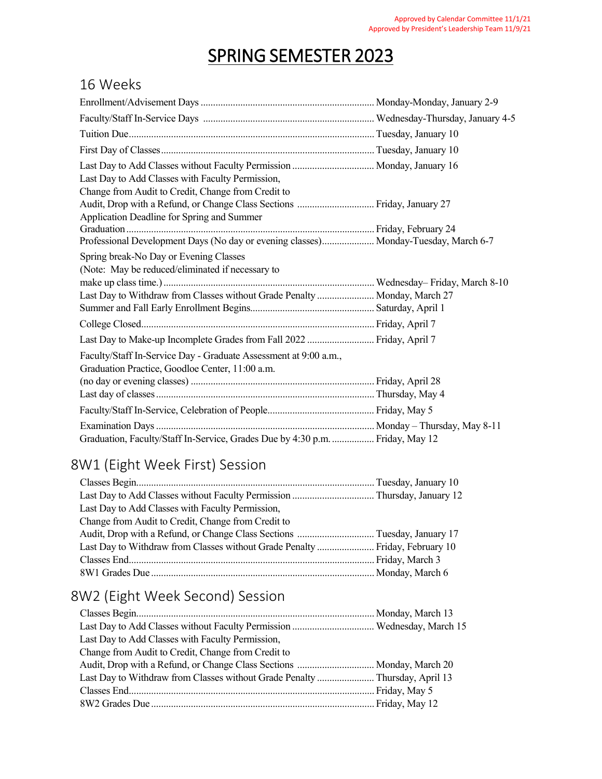# SPRING SEMESTER 2023

#### 16 Weeks

| Last Day to Add Classes with Faculty Permission,<br>Change from Audit to Credit, Change from Credit to                                                                                                       |  |
|--------------------------------------------------------------------------------------------------------------------------------------------------------------------------------------------------------------|--|
| Audit, Drop with a Refund, or Change Class Sections  Friday, January 27<br>Application Deadline for Spring and Summer<br>Professional Development Days (No day or evening classes) Monday-Tuesday, March 6-7 |  |
| Spring break-No Day or Evening Classes<br>(Note: May be reduced/eliminated if necessary to<br>Last Day to Withdraw from Classes without Grade Penalty  Monday, March 27                                      |  |
|                                                                                                                                                                                                              |  |
| Last Day to Make-up Incomplete Grades from Fall 2022  Friday, April 7<br>Faculty/Staff In-Service Day - Graduate Assessment at 9:00 a.m.,<br>Graduation Practice, Goodloe Center, 11:00 a.m.                 |  |
|                                                                                                                                                                                                              |  |
|                                                                                                                                                                                                              |  |
| Graduation, Faculty/Staff In-Service, Grades Due by 4:30 p.m.  Friday, May 12                                                                                                                                |  |

### 8W1 (Eight Week First) Session

| Last Day to Add Classes with Faculty Permission,                             |  |
|------------------------------------------------------------------------------|--|
| Change from Audit to Credit, Change from Credit to                           |  |
|                                                                              |  |
| Last Day to Withdraw from Classes without Grade Penalty  Friday, February 10 |  |
|                                                                              |  |
|                                                                              |  |

## 8W2 (Eight Week Second) Session

| Last Day to Add Classes with Faculty Permission,                            |  |
|-----------------------------------------------------------------------------|--|
| Change from Audit to Credit, Change from Credit to                          |  |
| Audit, Drop with a Refund, or Change Class Sections  Monday, March 20       |  |
| Last Day to Withdraw from Classes without Grade Penalty  Thursday, April 13 |  |
|                                                                             |  |
|                                                                             |  |